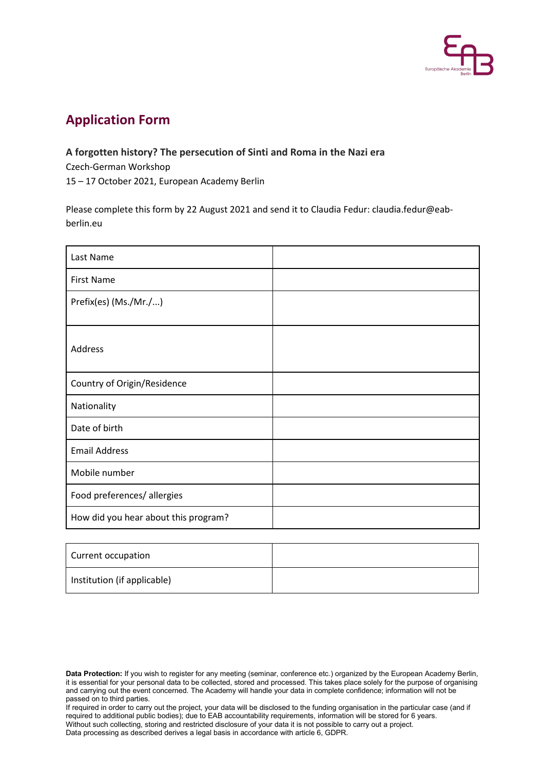

## **Application Form**

## **A forgotten history? The persecution of Sinti and Roma in the Nazi era**

Czech-German Workshop

15 – 17 October 2021, European Academy Berlin

Please complete this form by 22 August 2021 and send it to Claudia Fedur: claudia.fedur@eabberlin.eu

| Last Name                            |  |
|--------------------------------------|--|
| <b>First Name</b>                    |  |
| Prefix(es) (Ms./Mr./)                |  |
| Address                              |  |
| Country of Origin/Residence          |  |
| Nationality                          |  |
| Date of birth                        |  |
| <b>Email Address</b>                 |  |
| Mobile number                        |  |
| Food preferences/ allergies          |  |
| How did you hear about this program? |  |

| Current occupation          |  |
|-----------------------------|--|
| Institution (if applicable) |  |

If required in order to carry out the project, your data will be disclosed to the funding organisation in the particular case (and if required to additional public bodies); due to EAB accountability requirements, information will be stored for 6 years. Without such collecting, storing and restricted disclosure of your data it is not possible to carry out a project. Data processing as described derives a legal basis in accordance with article 6, GDPR.

**Data Protection:** If you wish to register for any meeting (seminar, conference etc.) organized by the European Academy Berlin, it is essential for your personal data to be collected, stored and processed. This takes place solely for the purpose of organising and carrying out the event concerned. The Academy will handle your data in complete confidence; information will not be passed on to third parties.